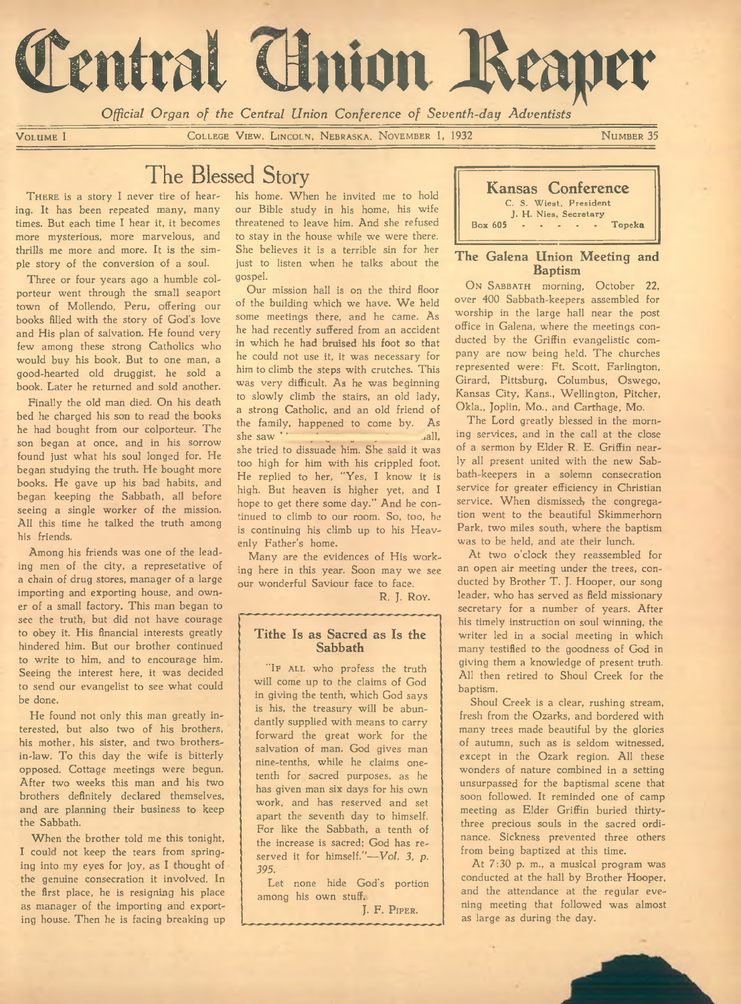

*Official Organ of the Central Union Conference of Seventh-day Adventists*

VOLUME I COLLEGE VIEW, LINCOLN, NEBRASKA, NOVEMBER 1, 1932 NUMBER 35

# The Blessed Story

THERE is a story I never tire of hearing. It has been repeated many, many times. But each time I hear it, it becomes more mysterious, more marvelous, and thrills me more and more. It is the simple story of the conversion of a soul.

Three or four years ago a humble colporteur went through the small seaport town of Mollendo, Peru, offering our books filled with the story of God's love and His plan of salvation. He found very few among these strong Catholics who would buy his book. But to one man, a good-hearted old druggist, he sold a book. Later he returned and sold another.

Finally the old man died. On his death bed he charged his son to read the books he had bought from our colporteur. The son began at once, and in his sorrow found just what his soul longed for. He began studying the truth. He bought more books. He gave up his bad habits, and began keeping the Sabbath, all before seeing a single worker of the mission. All this time he talked the truth among his friends.

Among his friends was one of the leading men of the city, a represetative of a chain of drug stores, manager of a large importing and exporting house, and owner of a small factory. This man began to see the truth, but did not have courage to obey it. His financial interests greatly hindered him. But our brother continued to write to him, and to encourage him. Seeing the interest here, it was decided to send our evangelist to see what could be done.

He found not only this man greatly interested, but also two of his brothers, his mother, his sister, and two brothersin-law. To this day the wife is bitterly opposed. Cottage meetings were begun. After two weeks this man and his two brothers definitely declared themselves, and are planning their business to keep the Sabbath.

When the brother told me this tonight, I could not keep the tears from springing into my eyes for joy, as I thought of the genuine consecration it involved. In the first place, he is resigning his place as manager of the importing and exporting house. Then he is facing breaking up

his home. When he invited me to hold our Bible study in his home, his wife threatened to leave him. And she refused to stay in the house while we were there. She believes it is a terrible sin for her just to listen when he talks about the gospel.

Our mission hall is on the third floor of the building which we have. We held some meetings there, and he came. As he had recently suffered from an accident in which he had bruised his foot so that he could not use it, it was necessary for him to climb the steps with crutches. This was very difficult. As he was beginning to slowly climb the stairs, an old lady, a strong Catholic, and an old friend of the family, happened to come by. As<br>she saw individually she saw ' she tried to dissuade him. She said it was too high for him with his crippled foot. He replied to her, "Yes, I know it is high. But heaven is higher yet, and I hope to get there some day." And he continued to climb to our room. So, too, he is continuing his climb up to his Heavenly Father's home.

Many are the evidences of His working here in this year. Soon may we see our wonderful Saviour face to face.

R. J. Roy.

# **Tithe Is as Sacred as Is the Sabbath**

"IF ALL who profess the truth will come up to the claims of God in giving the tenth, which God says is his, the treasury will be abundantly supplied with means to carry forward the great work for the salvation of man. God gives man nine-tenths, while he claims onetenth for sacred purposes, as he has given man six days for his own work, and has reserved and set apart the seventh day to himself. For like the Sabbath, a tenth of the increase is sacred; God has reserved it for himself."-*Vol. 3, p. 395.*

Let none hide God's portion among his own stuff.

J. F. PIPER.



## **The Galena Union Meeting and Baptism**

ON SABBATH morning, October 22, over 400 Sabbath-keepers assembled for worship in the large hall near the post office in Galena, where the meetings conducted by the Griffin evangelistic company are now being held. The churches represented were: Ft. Scott, Farlington, Girard, Pittsburg, Columbus, Oswego, Kansas City, Kans., Wellington, Pitcher, Okla., Joplin, Mo., and Carthage, Mo.

The Lord greatly blessed in the morning services, and in the call at the close of a sermon by Elder R. E. Griffin nearly all present united with the new Sabbath-keepers in a solemn consecration service for greater efficiency in Christian service. When dismissed, the congregation went to the beautiful Skimmerhorn Park, two miles south, where the baptism was to be held, and ate their lunch.

At two o'clock they reassembled for an open air meeting under the trees, conducted by Brother T. J. Hooper, our song leader, who has served as field missionary secretary for a number of years. After his timely instruction on soul winning, the writer led in a social meeting in which many testified to the goodness of God in giving them a knowledge of present truth. All then retired to Shoul Creek for the baptism.

Shoul Creek is a clear, rushing stream, fresh from the Ozarks, and bordered with many trees made beautiful by the glories of autumn, such as is seldom witnessed, except in the Ozark region. All these wonders of nature combined in a setting unsurpassed for the baptismal scene that soon followed. It reminded one of camp meeting as Elder Griffin buried thirtythree precious souls in the sacred ordinance. Sickness prevented three others from being baptized at this time.

At 7:30 p. m., a musical program was conducted at the hall by Brother Hooper, and the attendance at the regular evening meeting that followed was almost as large as during the day.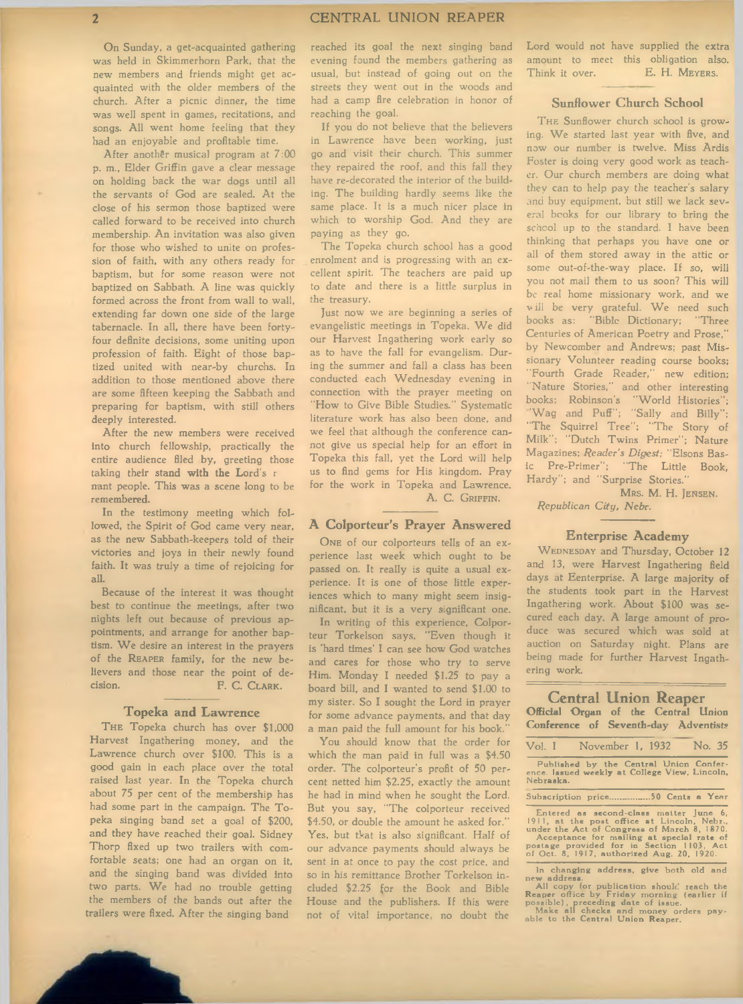On Sunday, a get-acquainted gathering was held in Skimmerhorn Park, that the new members and friends might get acquainted with the older members of the church. After a picnic dinner, the time was well spent in games, recitations, and songs. All went home feeling that they had an enjoyable and profitable time.

After another musical program at 7:00 p. m., Elder Griffin gave a clear message on holding back the war dogs until all the servants of God are sealed. At the close of his sermon those baptized were called forward to be received into church membership. An invitation was also given for those who wished to unite on profession of faith, with any others ready for baptism, but for some reason were not baptized on Sabbath. A line was quickly formed across the front from wall to wall, extending far down one side of the large tabernacle. In all, there have been fortyfour definite decisions, some uniting upon profession of faith. Eight of those baptized united with near-by churohs. In addition to those mentioned above there are some fifteen keeping the Sabbath and preparing for baptism, with still others deeply interested.

After the new members were received into church fellowship, practically the entire audience filed by, greeting those taking their stand **with the** Lord's r nant people. This was a scene long to be remembered.

In the testimony meeting which followed, the Spirit of God came very near, as the new Sabbath-keepers told of their victories and joys in their newly found faith. It was truly a time of rejoicing for all.

Because of the interest it was thought best to continue the meetings, after two nights left out because of previous appointments, and arrange for another baptism. We desire an interest in the prayers of the REAPER family, for the new believers and those near the point of decision. F. C. CLARK.

#### **Topeka and Lawrence**

THE Topeka church has over \$1,000 Harvest Ingathering money, and the Lawrence church over \$100. This is a good gain in each place over the total raised last year. In the Topeka church about 75 per cent of the membership has had some part in the campaign. The Topeka singing band set a goal of \$200, and they have reached their goal. Sidney Thorp fixed up two trailers with comfortable seats: one had an organ on it, and the singing band was divided into two parts. We had no trouble getting the members of the bands out after the trailers were fixed. After the singing band

reached its goal the next singing band evening found the members gathering as usual, but instead of going out on the streets they went out in the woods and had a camp fire celebration in honor of reaching the goal.

If you do not believe that the believers in Lawrence have been working, just go and visit their church. This summer they repaired the roof, and this fall they have re-decorated the interior of the building. The building hardly seems like the same place. It is a much nicer place in which to worship God. And they are paying as they go.

The Topeka church school has a good enrolment and is progressing with an excellent spirit. The teachers are paid up to date and there is a little surplus in the treasury.

Just now we are beginning a series of evangelistic meetings in Topeka. We did our Harvest Ingathering work early so as to have the fall for evangelism. During the summer and fall a class has been conducted each Wednesday evening in connection with the prayer meeting on ''How to Give Bible Studies." Systematic literature work has also been done, and we feel that although the conference cannot give us special help for an effort in Topeka this fall, yet the Lord will help us to find gems for His kingdom. Pray for the work in Topeka and Lawrence. A. C. GRIFFIN.

# **A Colporteur's Prayer Answered**

ONE of our colporteurs tells of an experience last week which ought to be passed on. It really is quite a usual experience. It is one of those little experiences which to many might seem insignificant, but it is a very significant one.

In writing of this experience, Colporteur Torkelson says, "Even though it is 'hard times' I can see how God watches and cares for those who try to serve Him. Monday I needed \$1.25 to pay a board bill, and I wanted to send \$1.00 to my sister. So I sought the Lord in prayer for some advance payments, and that day a man paid the full amount for his book."

You should know that the order for which the man paid in full was a \$4.50 order. The colporteur's profit of 50 percent netted him \$2.25, exactly the amount he had in mind when he sought the Lord. But you say, "The colporteur received \$4.50, or double the amount he asked for." Yes, but that is also significant. Half of our advance payments should always be sent in at once to pay the cost price, and so in his remittance Brother Torkelson included \$2.25 for the Book and Bible House and the publishers. If this were not of vital importance, no doubt the

Lord would not have supplied the extra amount to meet this obligation also.<br>Think it over. E. H. MEYERS. Think it over.

# **Sunflower Church School**

THE Sunflower church school is growing. We started last year with five, and now our number is twelve. Miss Ardis Foster is doing very good work as teacher. Our church members are doing what they can to help pay the teacher's salary and buy equipment, but still we lack several books for our library to bring the school up to the standard. I have been thinking that perhaps you have one or all of them stored away in the attic or some out-of-the-way place. If so, will you not mail them to us soon? This will be real home missionary work, and we will be very grateful. We need such books as: "Bible Dictionary; "Three Centuries of American Poetry and Prose," by Newcomber and Andrews; past Missionary Volunteer reading course books; "Fourth Grade Reader," new edition; "Nature Stories," and other interesting books; Robinson's "World Histories"; 'Wag and Puff"; "Sally and Billy"; "The Squirrel Tree"; "The Story of Milk"; "Dutch Twins Primer"; Nature Magazines; *Reader's Digest*; "Elsons Basic Pre-Primer"; "The Little Book, Hardy"; and "Surprise Stories." MRS. M. H. JENSEN.

*R epublican C ity, N ebr.*

#### **Enterprise Academy**

WEDNESDAY and Thursday, October 12 and 13, were Harvest Ingathering field days at Eenterprise. A large majority of the students took part in the Harvest Ingathering work. About \$100 was secured each day. A large amount of produce was secured which was sold at auction on Saturday night. Plans are being made for further Harvest Ingathering work.

| <b>Central Union Reaper</b><br>Official Organ of the Central Union<br>Conference of Seventh-day Adventists                           |
|--------------------------------------------------------------------------------------------------------------------------------------|
| Vol. I November 1, 1932 No. 35                                                                                                       |
| Published by the Central Union Confer-<br>ence. Issued weekly at College View, Lincoln,<br>Nebraska.                                 |
|                                                                                                                                      |
| Entered as second-class matter lune 6.<br>1911, at the post office at Lincoln, Nebr.,<br>under the Act of Congress of March 8, 1870. |

under the Act of Congress of March 8, 1870.<br>Acceptance for mailing at special rate of<br>postage provided for in Section 1103, Act<br>of Oct. 8, 1917, authorized Aug. 20, 1920. In changing address, give both old and

new address.<br>
All copy for publication should reach the<br>
Reaper office by Friday morning (earlier if<br>
possible), preceding date of issue.<br>
Make all checks and money orders pay-<br>
able to the Central Union Reaper.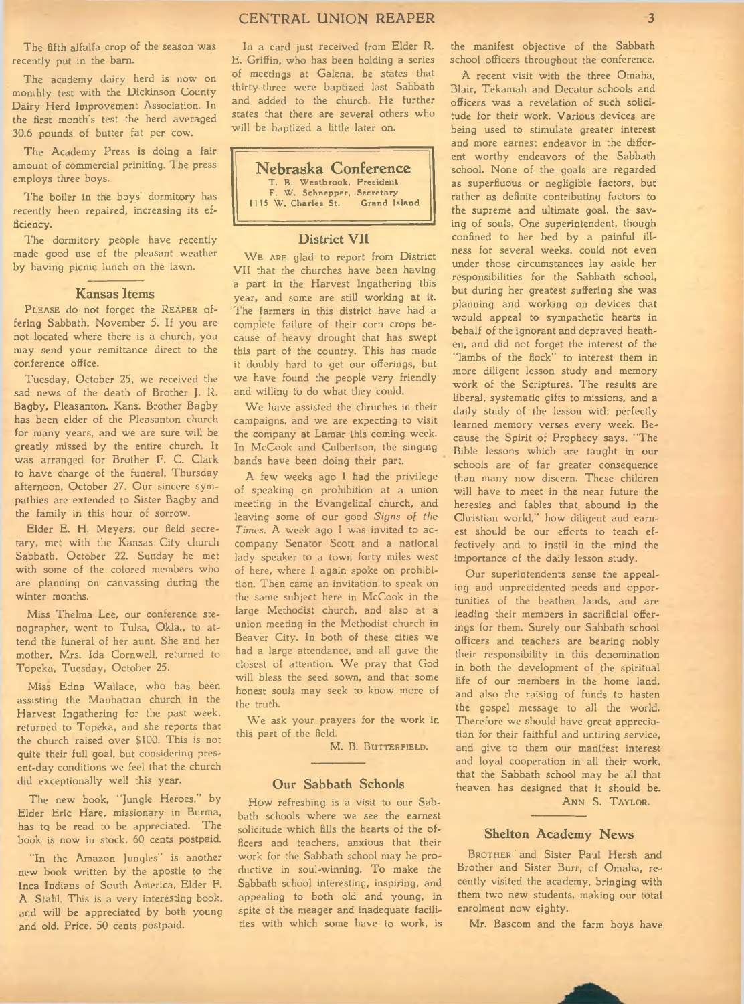# CENTRAL UNION REAPER 3

The fifth alfalfa crop of the season was recently put in the barn.

The academy dairy herd is now on monthly test with the Dickinson County Dairy Herd Improvement Association. In the first month's test the herd averaged 30.6 pounds of butter fat per cow.

The Academy Press is doing a fair amount of commercial priniting. The press employs three boys.

The boiler in the boys' dormitory has recently been repaired, increasing its efficiency.

The dormitory people have recently made good use of the pleasant weather by having picnic lunch on the lawn.

#### **Kansas Items**

PLEASE do not forget the REAPER offering Sabbath, November 5. If you are not located where there is a church, you may send your remittance direct to the conference office.

Tuesday, October 25, we received the sad news of the death of Brother J. R. Bagby, Pleasanton, Kans. Brother Bagby has been elder of the Pleasanton church for many years, and we are sure will be greatly missed by the entire church. It was arranged for Brother F. C. Clark to have charge of the funeral, Thursday afternoon, October 27. Our sincere sympathies are extended to Sister Bagby and the family in this hour of sorrow.

Elder E. H. Meyers, our field secretary, met with the Kansas City church Sabbath, October 22. Sunday he met with some of the colored members who are planning on canvassing during the winter months.

Miss Thelma Lee, our conference stenographer, went to Tulsa, Okla., to attend the funeral of her aunt. She and her mother, Mrs. Ida Cornwell, returned to Topeka, Tuesday, October 25.

Miss Edna Wallace, who has been assisting the Manhattan church in the Harvest Ingathering for the past week, returned to Topeka, and she reports that the church raised over \$100. This is not quite their full goal, but considering present-day conditions we feel that the church did exceptionally well this year.

The new book, "Jungle Heroes," by Elder Eric Hare, missionary in Burma, has to be read to be appreciated. The book is now in stock, 60 cents postpaid.

"In the Amazon Jungles" is another new book written by the apostle to the Inca Indians of South America, Elder F. A. Stahl. This is a very interesting book, and will be appreciated by both young and old. Price, 50 cents postpaid.

In a card just received from Elder R. E. Griffin, who has been holding a series of meetings at Galena, he states that thirty-three were baptized last Sabbath and added to the church. He further states that there are several others who will be baptized a little later on.



# **District VII**

WE ARE glad to report from District VII that the churches have been having a part in the Harvest Ingathering this year, and some are still working at it. The farmers in this district have had a complete failure of their corn crops because of heavy drought that has swept this part of the country. This has made it doubly hard to get our offerings, but we have found the people very friendly and willing to do what they could.

We have assisted the chruches in their campaigns, and we are expecting to visit the company at Lamar this coming week. In McCook and Culbertson, the singing bands have been doing their part.

A few weeks ago I had the privilege of speaking on prohibition at a union meeting in the Evangelical church, and leaving some of our good Signs of the *Times.* A week ago I was invited to accompany Senator Scott and a national lady speaker to a town forty miles west of here, where I again spoke on prohibition. Then came an invitation to speak on the same subject here in McCook in the large Methodist church, and also at a union meeting in the Methodist church in Beaver City. In both of these cities we had a large attendance, and all gave the closest of attention. We pray that God will bless the seed sown, and that some honest souls may seek to know more of the truth.

We ask your prayers for the work in this part of the field.

M. B. BUTTERFIELD.

## **Our Sabbath Schools**

How refreshing is a visit to our Sabbath schools where we see the earnest solicitude which fills the hearts of the officers and teachers, anxious that their work for the Sabbath school may be productive in soul-winning. To make the Sabbath school interesting, inspiring, and appealing to both old and young, in spite of the meager and inadequate facilities with which some have to work, is

the manifest objective of the Sabbath school officers throughout the conference.

A recent visit with the three Omaha, Blair, Tekamah and Decatur schools and officers was a revelation of such solicitude for their work. Various devices are being used to stimulate greater interest and more earnest endeavor in the different worthy endeavors of the Sabbath school. None of the goals are regarded as superfluous or negligible factors, but rather as definite contributing factors to the supreme and ultimate goal, the saving of souls. One superintendent, though confined to her bed by a painful illness for several weeks, could not even under those circumstances lay aside her responsibilities for the Sabbath school, but during her greatest suffering she was planning and working on devices that would appeal to sympathetic hearts in behalf of the ignorant and depraved heathen, and did not forget the interest of the "lambs of the flock" to interest them in more diligent lesson study and memory work of the Scriptures. The results are liberal, systematic gifts to missions, and a daily study of the lesson with perfectly learned memory verses every week. Because the Spirit of Prophecy says, "The Bible lessons which are taught in our schools are of far greater consequence than many now discern. These children will have to meet in the near future the heresies and fables that, abound in the Christian world," how diligent and earnest should be our efforts to teach effectively and to instil in the mind the importance of the daily lesson study.

Our superintendents sense the appealing and unprecidented needs and opportunities of the heathen lands, and are leading their members in sacrificial offerings for them. Surely our Sabbath school officers and teachers are bearing nobly their responsibility in this denomination in both the development of the spiritual life of our members in the home land, and also the raising of funds to hasten the gospel message to all the world. Therefore we should have great appreciation for their faithful and untiring service, and give to them our manifest interest and loyal cooperation in all their work, that the Sabbath school may be all that 'heaven has designed that it should be.

ANN S. TAYLOR.

#### **Shelton Academy News**

BROTHER and Sister Paul Hersh and Brother and Sister Burr, of Omaha, recently visited the academy, bringing with them two new students, making our total enrolment now eighty.

Mr. Bascom and the farm boys have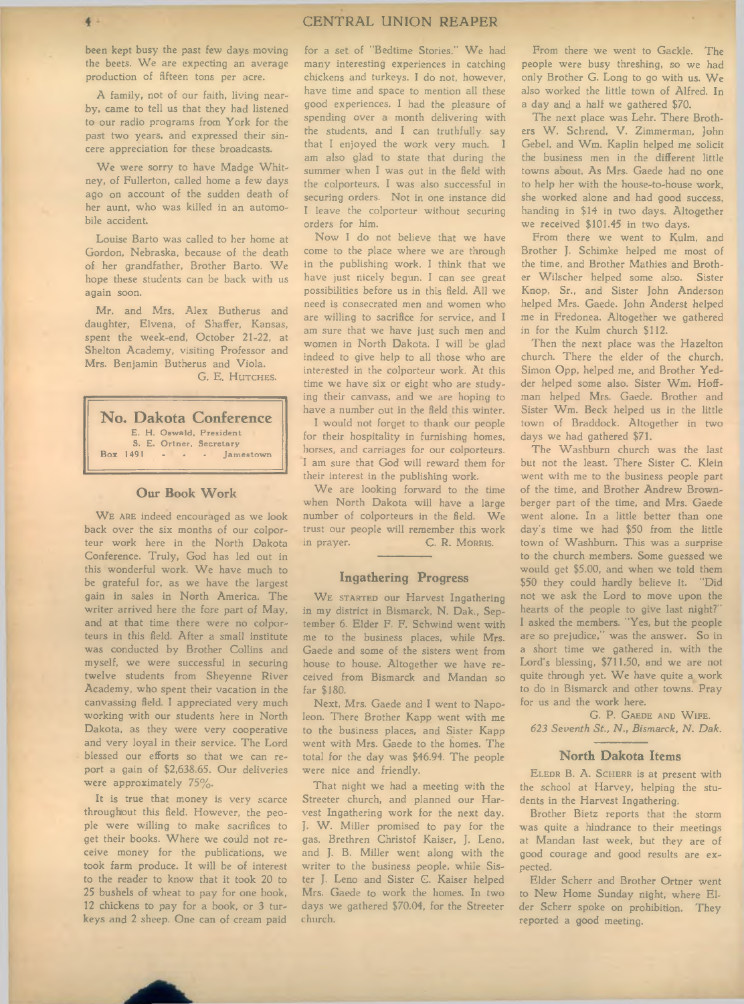been kept busy the past few days moving the beets. We are expecting an average production of fifteen tons per acre.

A family, not of our faith, living nearby, came to tell us that they had listened to our radio programs from York for the past two years, and expressed their sincere appreciation for these broadcasts.

We were sorry to have Madge Whitney, of Fullerton, called home a few days ago on account of the sudden death of her aunt, who was killed in an automobile accident.

Louise Barto was called to her home at Gordon, Nebraska, because of the death of her grandfather, Brother Barto. We hope these students can be back with us again soon.

Mr. and Mrs. Alex Butherus and daughter, Elvena, of Shaffer, Kansas, spent the week-end, October 21-22, at Shelton Academy, visiting Professor and Mrs. Benjamin Butherus and Viola. G. E. HUTCHES.

**No. Dakota Conference** E. H. Oswald, President S. E. Ortner, Secretary Box 1491 - - - - Jamestown

# **Our Book Work**

WE ARE indeed encouraged as we look back over the six months of our colporteur work here in the North Dakota Conference. Truly, God has led out in this wonderful work. We have much to be grateful for, as we have the largest gain in sales in North America. The writer arrived here the fore part of May, and at that time there were no colporteurs in this field. After a small institute was conducted by Brother Collins and myself, we were successful in securing twelve students from Sheyenne River Academy, who spent their vacation in the canvassing field. I appreciated very much working with our students here in North Dakota, as they were very cooperative and very loyal in their service. The Lord blessed our efforts so that we can report a gain of \$2,638.65. Our deliveries were approximately 75%.

It is true that money is very scarce throughout this field. However, the people were willing to make sacrifices to get their books. W here we could not receive money for the publications, we took farm produce. It will be of interest to the reader to know that it took 20 to 25 bushels of wheat to pay for one book, 12 chickens to pay for a book, or 3 turkeys and 2 sheep. One can of cream paid for a set of "Bedtime Stories." We had many interesting experiences in catching chickens and turkeys. I do not, however, have time and space to mention all these good experiences. I had the pleasure of spending over a month delivering with the students, and I can truthfully say that I enjoyed the work very much. I am also glad to state that during the summer when I was out in the field with the colporteurs, I was also successful in securing orders. Not in one instance did I leave the colporteur without securing orders for him.

Now I do not believe that we have come to the place where we are through in the publishing work. I think that we have just nicely begun. I can see great possibilities before us in this field. All we need is consecrated men and women who are willing to sacrifice for service, and I am sure that we have just such men and women in North Dakota. I will be glad indeed to give help to all those who are interested in the colporteur work. At this time we have six or eight who are studying their canvass, and we are hoping to have a number out in the field this winter.

I would not forget to thank our people for their hospitality in furnishing homes, horses, and carriages for our colporteurs. I am sure that God will reward them for their interest in the publishing work.

We are looking forward to the time when North Dakota will have a large number of colporteurs in the field. We trust our people will remember this work in prayer. C. R. MORRIS.

## **Ingathering Progress**

WE STARTED our Harvest Ingathering in my district in Bismarck, N. Dak., September 6. Elder F. F. Schwind went with me to the business places, while Mrs. Gaede and some of the sisters went from house to house. Altogether we have received from Bismarck and Mandan so far \$180.

Next, Mrs. Gaede and I went to Napoleon. There Brother Kapp went with me to the business places, and Sister Kapp went with Mrs. Gaede to the homes. The total for the day was \$46.94. The people were nice and friendly.

That night we had a meeting with the Streeter church, and planned our Harvest Ingathering work for the next day. J. W. Miller promised to pay for the gas. Brethren Christof Kaiser, J. Leno, and J. B. Miller went along with the writer to the business people, while Sister J. Leno and Sister G. Kaiser helped Mrs. Gaede to work the homes. In two days we gathered \$70.04, for the Streeter church.

From there we went to Gackle. The people were busy threshing, so we had only Brother G. Long to go with us. We also worked the little town of Alfred. In a day and a half we gathered \$70.

The next place was Lehr. There Brothers W. Schrend, V. Zimmerman, John Gebel, and Wm. Kaplin helped me solicit the business men in the different little towns about. As Mrs. Gaede had no one to help her with the house-to-house work, she worked alone and had good success, handing in \$14 in two days. Altogether we received \$101.45 in two days.

From there we went to Kulm, and Brother J. Schimke helped me most of the time, and Brother Mathies and Brother W ilscher helped some also. Sister Knop, Sr., and Sister John Anderson helped Mrs. Gaede. John Anderst helped me in Fredonea. Altogether we gathered in for the Kulm church \$112.

Then the next place was the Hazelton church. There the elder of the church, Simon Opp, helped me, and Brother Yedder helped some also. Sister Wm. Hoffman helped Mrs. Gaede. Brother and Sister Wm. Beck helped us in the little town of Braddock. Altogether in two days we had gathered \$71.

The Washburn church was the last but not the least. There Sister C. Klein went with me to the business people part of the time, and Brother Andrew Brownberger part of the time, and Mrs. Gaede went alone. In a little better than one day's time we had \$50 from the little town of Washburn. This was a surprise to the church members. Some guessed we would get \$5.00, and when we told them \$50 they could hardly believe it. "Did not we ask the Lord to move upon the hearts of the people to give last night?" I asked the members. "Yes, but the people are so prejudice," was the answer. So in a short time we gathered in, with the Lord's blessing, \$711.50, and we are not quite through yet. We have quite a work to do in Bismarck and other towns. Pray for us and the work here.

G. P. GAEDE AND WIFE. 623 Seventh St., N., Bismarck, N. Dak.

#### **North Dakota Items**

ELEDR B. A. SCHERR is at present with the school at Harvey, helping the students in the Harvest Ingathering.

Brother Bietz reports that the storm was quite a hindrance to their meetings at Mandan last week, but they are of good courage and good results are expected.

Elder Scherr and Brother Ortner went to New Home Sunday night, where Elder Scherr spoke on prohibition. They reported a good meeting.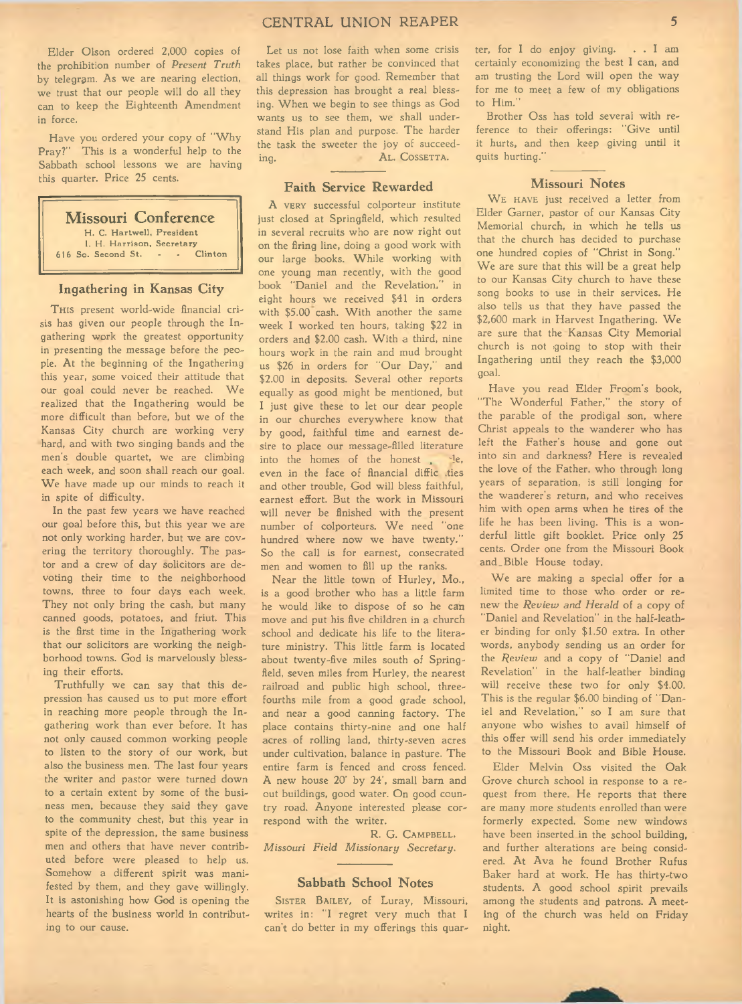Elder Olson ordered 2,000 copies of the prohibition number of *Present Truth* by telegram. As we are nearing election, we trust that our people will do all they can to keep the Eighteenth Amendment in force.

Have you ordered your copy of "Why Pray?" This is a wonderful help to the Sabbath school lessons we are having this quarter. Price 25 cents.

# **Missouri Conference**

H. C. Hartwell, President 1. H. Harrison, Secretary<br>a Second St. . . . Clinton 616 So. Second St.

# **Ingathering in Kansas City**

THIS present world-wide financial crisis has given our people through the Ingathering work the greatest opportunity in presenting the message before the people. At the beginning of the Ingathering this year, some voiced their attitude that our goal could never be reached. We realized that the Ingathering would be more difficult than before, but we of the Kansas City church are working very hard, and with two singing bands and the men's double quartet, we are climbing each week, and soon shall reach our goal. We have made up our minds to reach it in spite of difficulty.

In the past few years we have reached our goal before this, but this year we are not only working harder, but we are covering the territory thoroughly. The pastor and a crew of day solicitors are devoting their time to the neighborhood towns, three to four days each week. They not only bring the cash, but many canned goods, potatoes, and friut. This is the first time in the Ingathering work that our solicitors are working the neighborhood towns. God is marvelously blessing their efforts.

Truthfully we can say that this depression has caused us to put more effort in reaching more people through the Ingathering work than ever before. It has not only caused common working people to listen to the story of our work, but also the business men. The last four years the writer and pastor were turned down to a certain extent by some of the business men, because they said they gave to the community chest, but this year in spite of the depression, the same business men and others that have never contributed before were pleased to help us. Somehow a different spirit was manifested by them, and they gave willingly. It is astonishing how God is opening the hearts of the business world in contributing to our cause.

Let us not lose faith when some crisis takes place, but rather be convinced that all things work for good. Remember that this depression has brought a real blessing. W hen we begin to see things as God wants us to see them, we shall understand His plan and purpose. The harder the task the sweeter the joy of succeeding. AL. COSSETTA.

## **Faith Service Rewarded**

A VERY successful colporteur institute just closed at Springfield, which resulted in several recruits who are now right out on the firing line, doing a good work with our large books. While working with one young man recently, with the good book "Daniel and the Revelation," in eight hours we received \$41 in orders with \$5.00 cash. With another the same week I worked ten hours, taking \$22 in orders and \$2.00 cash. With a third, nine hours work in the rain and mud brought us \$26 in orders for "Our Day," and \$2.00 in deposits. Several other reports equally as good might be mentioned, but I just give these to let our dear people in our churches everywhere know that by good, faithful time and earnest desire to place our message-filled literature into the homes of the honest,  $de$ , even in the face of financial diffic .ties and other trouble, God will bless faithful, earnest effort. But the work in Missouri will never be finished with the present number of colporteurs. We need "one hundred where now we have twenty." So the call is for earnest, consecrated men and women to fill up the ranks.

Near the little town of Hurley, Mo., is a good brother who has a little farm he would like to dispose of so he can move and put his five children in a church school and dedicate his life to the literature ministry. This little farm is located about twenty-five miles south of Springfield, seven miles from Hurley, the nearest railroad and public high school, threefourths mile from a good grade school, and near a good canning factory. The place contains thirty-nine and one half acres of rolling land, thirty-seven acres under cultivation, balance in pasture. The entire farm is fenced and cross fenced. A new house 20' by 24', small barn and out buildings, good water. On good country road. Anyone interested please correspond with the writer.

R. G. CAMPBELL. *M issouri F ield M issionary Secretary.*

# **Sabbath School Notes**

SISTER BAILEY, of Luray, Missouri, writes in: "I regret very much that I can't do better in my offerings this quar-

ter, for I do enjoy giving. . . I am certainly economizing the best I can, and am trusting the Lord will open the way for me to meet a few of my obligations to Him."

Brother Oss has told several with reference to their offerings: "Give until it hurts, and then keep giving until it quits hurting."

#### **Missouri Notes**

WE HAVE just received a letter from Elder Garner, pastor of our Kansas City Memorial church, in which he tells us that the church has decided to purchase one hundred copies of "Christ in Song." We are sure that this will be a great help to our Kansas City church to have these song books to use in their services. He also tells us that they have passed the \$2,600 mark in Harvest Ingathering. We are sure that the Kansas City Memorial church is not going to stop with their Ingathering until they reach the \$3,000 goal.

Have you read Elder Froom's book, "The Wonderful Father," the story of the parable of the prodigal son, where Christ appeals to the wanderer who has left the Father's house and gone out into sin and darkness? Here is revealed the love of the Father, who through long years of separation, is still longing for the wanderer's return, and who receives him with open arms when he tires of the life he has been living. This is a wonderful little gift booklet. Price only 25 cents. Order one from the Missouri Book and \_ Bible House today.

We are making a special offer for a limited time to those who order or renew the *Review and Herald* of a copy of "Daniel and Revelation" in the half-leather binding for only \$1.50 extra. In other words, anybody sending us an order for the *Review* and a copy of "Daniel and Revelation" in the half-leather binding will receive these two for only \$4.00. This is the regular \$6.00 binding of "Daniel and Revelation," so I am sure that anyone who wishes to avail himself of this offer will send his order immediately to the Missouri Book and Bible House.

Elder Melvin Oss visited the Oak Grove church school in response to a request from there. He reports that there are many more students enrolled than were formerly expected. Some new windows have been inserted in the school building, and further alterations are being considered. At Ava he found Brother Rufus Baker hard at work. He has thirty-two students. A good school spirit prevails among the students and patrons. A meeting of the church was held on Friday night.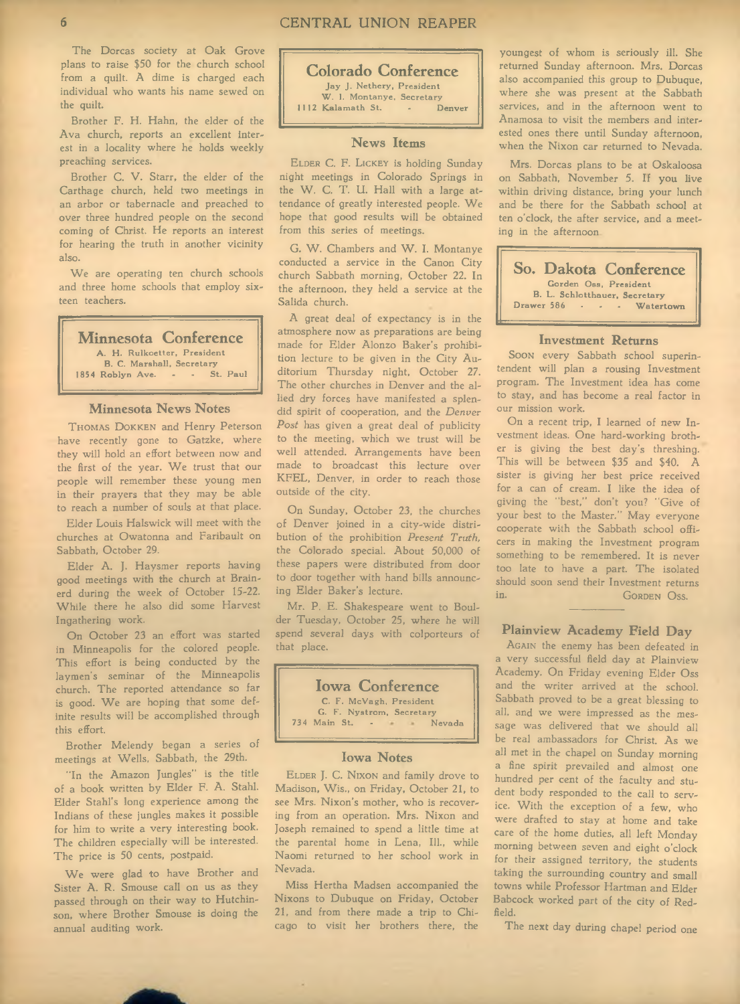The Dorcas society at Oak Grove plans to raise \$50 for the church school from a quilt. A dime is charged each individual who wants his name sewed on the quilt.

Brother F. H. Hahn, the elder of the Ava church, reports an excellent interest in a locality where he holds weekly preaching services.

Brother C. V. Starr, the elder of the Carthage church, held two meetings in an arbor or tabernacle and preached to over three hundred people on the second coming of Christ. He reports an interest for hearing the truth in another vicinity also.

We are operating ten church schools and three home schools that employ sixteen teachers.

**Minnesota Conference** A. H. Rulkoetter, President B . C. M a rsh a ll, S e c re ta ry 1854 Roblyn Ave.

# **Minnesota News Notes**

THOMAS DOKKEN and Henry Peterson have recently gone to Gatzke, where they will hold an effort between now and the first of the year. We trust that our people will remember these young men in their prayers that they may be able to reach a number of souls at that place.

Elder Louis Halswick will meet with the churches at Owatonna and Faribault on Sabbath, October 29.

Elder A. J. Haysmer reports having good meetings with the church at Brainerd during the week of October 15-22. While there he also did some Harvest Ingathering work.

On October 23 an effort was started in Minneapolis for the colored people. This effort is being conducted by the laymen's seminar of the Minneapolis church. The reported attendance so far is good. We are hoping that some definite results will be accomplished through this effort.

Brother Melendy began a series of meetings at Wells, Sabbath, the 29th.

"In the Amazon Jungles" is the title of a book written by Elder F. A. Stahl. Elder Stahl's long experience among the Indians of these jungles makes it possible for him to write a very interesting book. The children especially will be interested. The price is 50 cents, postpaid.

We were glad to have Brother and Sister A. R. Smouse call on us as they passed through on their way to Hutchinson, where Brother Smouse is doing the annual auditing work.

**Colorado Conference** Jay J. Nethery, President W. I. Montanye, Secretary<br>Kalamath St. . . Denver 1112 Kalamath St.

# **News Items**

ELDER C. F. LICKEY is holding Sunday night meetings in Colorado Springs in the W. C. T. U. Hall with a large attendance of greatly interested people. We hope that good results will be obtained from this series of meetings.

G. W. Chambers and W. I. Montanye conducted a service in the Canon City church Sabbath morning, October 22. In the afternoon, they held a service at the Salida church.

A great deal of expectancy is in the atmosphere now as preparations are being made for Elder Alonzo Baker's prohibition lecture to be given in the City Auditorium Thursday night, October 27. The other churches in Denver and the allied dry forces have manifested a splendid spirit of cooperation, and the *Denver* Post has given a great deal of publicity to the meeting, which we trust will be well attended. Arrangements have been made to broadcast this lecture over KFEL, Denver, in order to reach those outside of the city.

On Sunday, October 23, the churches of Denver joined in a city-wide distribution of the prohibition *Present Truth,* the Colorado special. About 50,000 of these papers were distributed from door to door together with hand bills announcing Elder Baker's lecture.

Mr. P. E. Shakespeare went to Boulder Tuesday, October 25, where he will spend several days with colporteurs of that place.



## **Iowa Notes**

ELDER J. C. NIXON and family drove to Madison, Wis., on Friday, October 21, to see Mrs. Nixon's mother, who is recovering from an operation. Mrs. Nixon and Joseph remained to spend a little time at the parental home in Lena, 111., while Naomi returned to her school work in Nevada.

Miss Hertha Madsen accompanied the Nixons to Dubuque on Friday, October 21, and from there made a trip to Chicago to visit her brothers there, the

youngest of whom is seriously ill. She returned Sunday afternoon. Mrs. Dorcas also accompanied this group to Dubuque, where she was present at the Sabbath services, and in the afternoon went to Anamosa to visit the members and interested ones there until Sunday afternoon, when the Nixon car returned to Nevada.

Mrs. Dorcas plans to be at Oskaloosa on Sabbath, November 5. If you live within driving distance, bring your lunch and be there for the Sabbath school at ten o'clock, the after service, and a meeting in the afternoon

**So. Dakota Conference** Gorden Oss, President B. L. Schlotthauer, Secretary<br>wer 586 . . . . Watertown Drawer 586

# **Investment Returns**

Soon every Sabbath school superintendent will plan a rousing Investment program. The Investment idea has come to stay, and has become a real factor in our mission work.

On a recent trip, I learned of new Investment ideas. One hard-working brother is giving the best day's threshing. This will be between \$35 and \$40. A sister is giving her best price received for a can of cream. I like the idea of giving the "best," don't you? "Give of your best to the Master." May everyone cooperate with the Sabbath school officers in making the Investment program something to be remembered. It is never too late to have a part. The isolated should soon send their Investment returns in. GORDEN OSS.

# **Plainview Academy Field Day**

AGAIN the enemy has been defeated in a very successful field day at Plainview Academy. On Friday evening Elder Oss and the writer arrived at the school. Sabbath proved to be a great blessing to all, and we were impressed as the message was delivered that we should all be real ambassadors for Christ. As we all met in the chapel on Sunday morning a fine spirit prevailed and almost one hundred per cent of the faculty and student body responded to the call to service. With the exception of a few, who were drafted to stay at home and take care of the home duties, all left Monday morning between seven and eight o'clock for their assigned territory, the students taking the surrounding country and small towns while Professor Hartman and Elder Babcock worked part of the city of Redfield.

The next day during chapel period one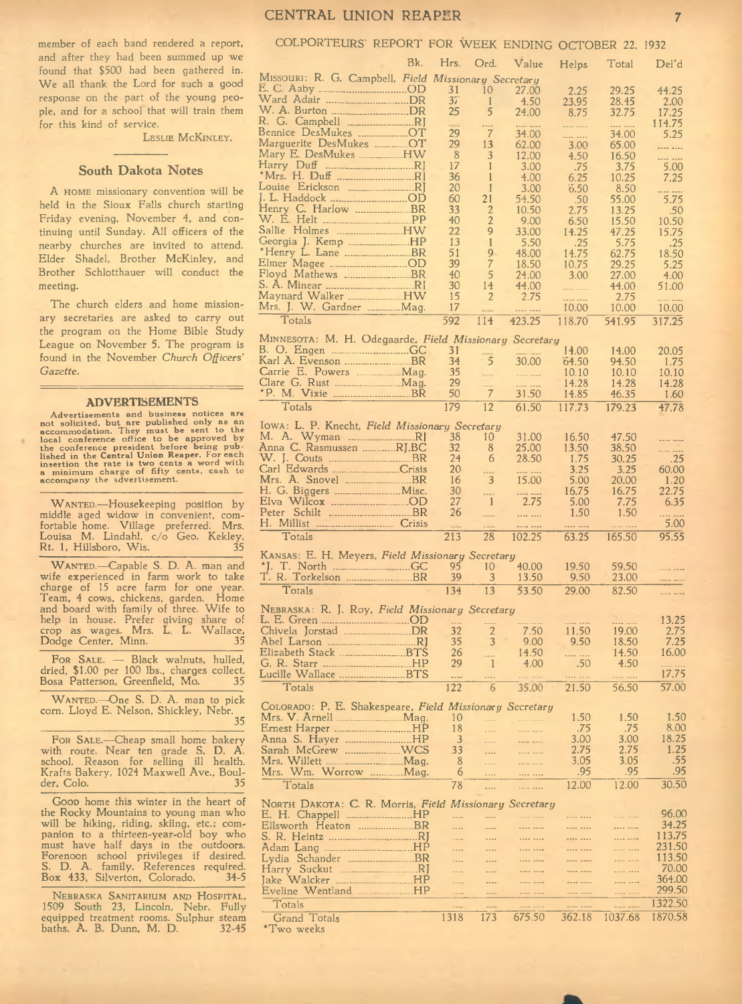LESLIE MCKINLEY.

#### **South Dakota Notes**

A HOME missionary convention will be held in the Sioux Falls church starting Friday evening, November 4, and continuing until Sunday. All officers of the nearby churches are invited to attend. Elder Shadel, Brother McKinley, and Brother Schlotthauer will conduct the meeting.

The church elders and home missionary secretaries are asked to carry out the program on the Home Bible Study League on November 5. The program is found in the November Church Officers' *G azette.*

#### **ADVERTISEMENTS**

Advertisements and business notices are<br>not solicited, but are published only as an<br>accommodation. They must be sent to the<br>local conference office to be approved by<br>the conference president before being pub-<br>lished in the

WANTED.-Housekeeping position by middle aged widow in convenient, comfortable home. Village preferred. Mrs. Louisa M. Lindahl, c/o Geo. Kekley, Rt. 1, Hillsboro, W is. 35

WANTED.-Capable S. D. A. man and wife experienced in farm work to take charge of 15 acre farm for one year. Team, 4 cows, chickens, garden. Home and board with family of three. Wife to help in house. Prefer giving share of crop as wages. Mrs. L. L. W allace, Dodge Center, Minn. 35

FOR SALE.  $-$  Black walnuts, hulled, dried, \$1.00 per 100 lbs., charges collect. Bosa Patterson, Greenfield, Mo. 35

WANTED.—One S. D. A. man to pick corn. Lloyd E. Nelson, Shickley, Nebr. 35

FOR SALE.-Cheap small home bakery with route. Near ten grade S. D. A. school. Reason for selling ill health. Krafts Bakery, 1024 Maxwell Ave., Boulder, Colo. 35

Goop home this winter in the heart of the Rocky Mountains to young man who will be hiking, riding, skiing, etc.; companion to a thirteen-year-old boy who must have half days in the outdoors. Forenoon school privileges if desired. S. D. A. family. References required. Box 433, Silverton, Colorado.

NEBRASKA SANITARIUM AND HOSPITAL, 1509 South 23, Lincoln, Nebr. Fully equipped treatment rooms. Sulphur steam baths. A. B. Dunn, M. D. 32-45

# CENTRAL UNION REAPER 7

# COLPORTEURS' REPORT FOR WEEK ENDING OCTOBER 22, 1932

|                                                         | Bk. | Hrs.         | Ord.           | Value                  | Helps         | Total          | Del'd            |
|---------------------------------------------------------|-----|--------------|----------------|------------------------|---------------|----------------|------------------|
| MISSOURI: R. G. Campbell, Field Missionary Secretary    |     |              |                |                        |               |                |                  |
| E. C. Aaby OD                                           |     | 31           | 10             | 27.00                  | 2.25          | 29.25          | 44.25            |
| Ward Adair DR                                           |     | 37           | $\mathbf{1}$   | 4.50                   | 23.95         | 28.45          | 2.00             |
| W. A. Burton DR                                         |     | 25           | 5              | 24.00                  | 8.75          | 32.75          | 17.25            |
| R. G. Campbell RJ                                       |     |              |                |                        |               |                | 114.75           |
| Bennice DesMukes OT                                     |     | 29           | $\overline{7}$ | 34.00                  |               | 34.00          | 5.25             |
| Marguerite DesMukes OT                                  |     | 29           | 13             | 62.00                  | 3.00          | 65.00          |                  |
| Mary E. DesMukes HW                                     |     | 8            | 3              | 12.00                  | 4.50          | 16.50          | ---- ----        |
|                                                         |     | 17           | 1              | 3.00                   | .75           | 3.75           | 5.00             |
|                                                         |     | 36           | 1              | 4.00                   | 6.25          | 10.25          | 7.25             |
| J. L. Haddock OD                                        |     | 20<br>60     | 1<br>21        | 3.00<br>54.50          | 0.50          | 8.50           | <br>5.75         |
| Henry C. Harlow BR                                      |     | 33           | 2              | 10.50                  | .50<br>2.75   | 55.00<br>13.25 | .50              |
|                                                         |     | 40           | $\overline{2}$ | 9.00                   | 6.50          | 15.50          | 10.50            |
| Sallie Holmes HW                                        |     | 22           | 9              | 33.00                  | 14.25         | 47.25          | 15.75            |
| Georgia J. Kemp HP                                      |     | 13           | 1              | 5.50                   | .25           | 5.75           | .25              |
| *Henry L. Lane BR                                       |     | 51           | 9              | 48.00                  | 14.75         | 62.75          | 18.50            |
| Elmer Magee OD                                          |     | 39           | 7              | 18.50                  | 10.75         | 29.25          | 5.25             |
|                                                         |     | 40           | 5              | 24.00                  | 3.00          | 27.00          | 4.00             |
| S. A. Minear RJ                                         |     | 30           | 14             | 44.00                  |               | 44.00          | 51.00            |
| Maynard Walker HW                                       |     | 15           | 2              | 2.75                   | .             | 2.75           | . <b>.</b>       |
| Mrs. J. W. Gardner Mag.                                 |     | 17           |                |                        | 10.00         | 10.00          | 10.00            |
| Totals                                                  |     | 592          | 114            | 423.25                 | 118.70        | 541.95         | 317.25           |
| MINNESOTA: M. H. Odegaarde, Field Missionary Secretary  |     |              |                |                        |               |                |                  |
|                                                         |     | 31           |                |                        | 14.00         | 14.00          | 20.05            |
| Karl A. Evenson BR                                      |     | 34           | 5              | 30.00                  | 64.50         | 94.50          | 1.75             |
| Carrie E. Powers  Mag.                                  |     | 35           | <b>SHAR</b>    | .                      | 10.10         | 10.10          | 10.10            |
|                                                         |     | 29           | ----           |                        | 14.28         | 14.28          | 14.28            |
|                                                         |     | 50           | $\overline{7}$ | 31.50                  | 14.85         | 46.35          | 1.60             |
| Totals                                                  |     | 179          | 12             | 61.50                  | 117.73        | 179.23         | 47.78            |
|                                                         |     |              |                |                        |               |                |                  |
| Iowa: L. P. Knecht, Field Missionary Secretary          |     |              |                |                        |               |                |                  |
|                                                         |     | 38           | 10<br>8        | 31.00                  | 16.50         | 47.50          |                  |
| Anna C. Rasmussen RJ,BC                                 |     | 32<br>24     | 6              | 25.00<br>28.50         | 13.50<br>1.75 | 38.50<br>30.25 | <br>.25          |
| Carl Edwards Crisis                                     |     | 20           |                | ---- ----              | 3.25          | 3.25           | 60.00            |
|                                                         |     | 16           | 3              | 15.00                  | 5.00          | 20.00          | 1.20             |
| H. G. Biggers Misc.                                     |     | 30           |                |                        | 16.75         | 16.75          | 22.75            |
|                                                         |     | 27           | $\vert$ 1      | 2.75                   | 5.00          | 7.75           | 6.35             |
|                                                         |     | 26           | vins           |                        | 1.50          | 1.50           | .                |
| H. Millist  Crisis                                      |     |              |                |                        |               |                | 5.00             |
| Totals                                                  |     | 213          | 28             | 102.25                 | 63.25         | 165.50         | 95.55            |
| KANSAS: E. H. Meyers, Field Missionary Secretary        |     |              |                |                        |               |                |                  |
|                                                         |     | 95           | 10             | 40.00                  | 19.50         | 59.50          | .                |
| T. R. Torkelson BR                                      |     | 39           | 3              | 13.50                  | 9.50          | 23.00          |                  |
| Totals                                                  |     | 134          | 13             | 53.50                  | 29.00         | 82.50          |                  |
|                                                         |     |              |                |                        |               |                |                  |
| NEBRASKA: R. J. Roy, <i>Field Missionary Secretary</i>  |     |              |                |                        |               |                |                  |
|                                                         |     | $\mathbf{1}$ | $\overline{2}$ |                        |               |                | 13.25            |
| Chivela Jorstad DR                                      |     | 32           |                | 7.50                   | 11.50         | 19.00          | 2.75             |
| Elizabeth Stack BTS                                     |     | 35           | 3              | 9.00                   | 9.50          | 18.50<br>14.50 | 7.25<br>16.00    |
|                                                         |     | 26<br>29     | 1              | 14.50<br>4.00          | .<br>.50      | 4.50           |                  |
| Lucille Wallace BTS                                     |     | $\ddotsc$    |                |                        |               |                | 17.75            |
| Totals                                                  |     | 122          | 6              | 35.00                  | 21.50         | 56.50          | 57.00            |
|                                                         |     |              |                |                        |               |                |                  |
| COLORADO: P. E. Shakespeare, Field Missionary Secretary |     |              |                |                        |               |                |                  |
| Mrs. V. Arnell Mag.                                     |     | 10           | .              | <b>ELECTRIC</b>        | 1.50          | 1.50           | 1.50             |
|                                                         |     | 18           | $\cdots$       |                        | .75           | .75            | 8.00             |
| Anna S. Hayer HP                                        |     | 3            | .              |                        | 3.00          | 3.00           | 18.25            |
|                                                         |     | 33           | $\overline{a}$ |                        | 2.75          | 2.75           | 1.25<br>.55      |
|                                                         |     | 8<br>6       | .              |                        | 3.05          | 3.05<br>.95    | .95              |
| Wm. Worrow Mag.<br>Mrs.                                 |     |              | .              |                        | .95           |                |                  |
| Totals                                                  |     | 78           |                | .                      | 12.00         | 12.00          | 30.50            |
| NORTH DAKOTA: C. R. Morris, Field Missionary Secretary  |     |              |                |                        |               |                |                  |
| E. H. Chappell HP                                       |     | .            |                | <b><i><u> </u></i></b> | ---- ----     | .              | 96.00            |
| Ellsworth Heaton BR                                     |     | 1.11         | .              | ---- ----              |               |                | 34.25            |
|                                                         |     | .            |                | ---- ----              |               |                | 113.75           |
|                                                         |     | .            | ----           |                        |               |                | 231.50           |
|                                                         |     | .            |                |                        | ---- ----     | .              | 113.50           |
|                                                         |     | .            | ----           |                        | ---- ----     | <b></b>        | 70.00            |
|                                                         |     | .            |                |                        | ---- ----     |                | 364.00<br>299.50 |
| Eveline Wentland HP                                     |     | $\cdots$     | ----           | ---- ----              | ---- ----     | .              |                  |
| Totals                                                  |     |              |                |                        | .             |                | 1322.50          |
| Grand Totals                                            |     | 1318         | 173            | 675.50                 | 362.18        | 1037.68        | 1870.58          |
| $^{\star}$ Two weeks                                    |     |              |                |                        |               |                |                  |